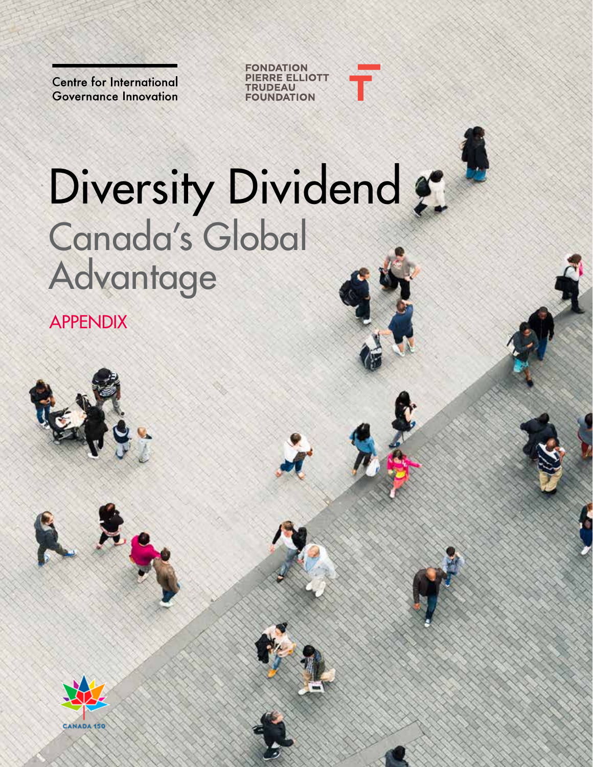**Centre for International Governance Innovation** 



# Diversity Dividend : Canada's Global Advantage

APPENDIX

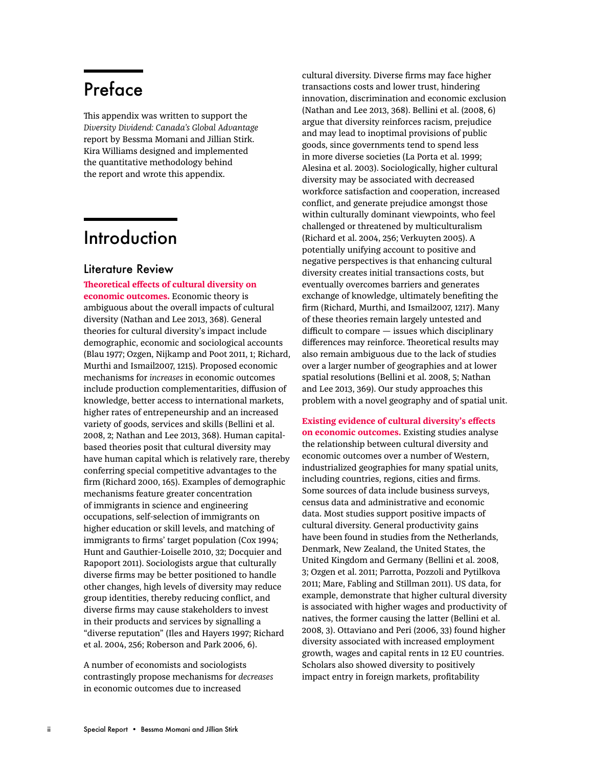## Preface

This appendix was written to support the *Diversity Dividend: Canada's Global Advantage* report by Bessma Momani and Jillian Stirk. Kira Williams designed and implemented the quantitative methodology behind the report and wrote this appendix.

## **Introduction**

#### Literature Review

**Theoretical effects of cultural diversity on economic outcomes.** Economic theory is ambiguous about the overall impacts of cultural diversity (Nathan and Lee 2013, 368). General theories for cultural diversity's impact include demographic, economic and sociological accounts (Blau 1977; Ozgen, Nijkamp and Poot 2011, 1; Richard, Murthi and Ismail2007, 1215). Proposed economic mechanisms for *increases* in economic outcomes include production complementarities, diffusion of knowledge, better access to international markets, higher rates of entrepeneurship and an increased variety of goods, services and skills (Bellini et al. 2008, 2; Nathan and Lee 2013, 368). Human capitalbased theories posit that cultural diversity may have human capital which is relatively rare, thereby conferring special competitive advantages to the firm (Richard 2000, 165). Examples of demographic mechanisms feature greater concentration of immigrants in science and engineering occupations, self-selection of immigrants on higher education or skill levels, and matching of immigrants to firms' target population (Cox 1994; Hunt and Gauthier-Loiselle 2010, 32; Docquier and Rapoport 2011). Sociologists argue that culturally diverse firms may be better positioned to handle other changes, high levels of diversity may reduce group identities, thereby reducing conflict, and diverse firms may cause stakeholders to invest in their products and services by signalling a "diverse reputation" (Iles and Hayers 1997; Richard et al. 2004, 256; Roberson and Park 2006, 6).

A number of economists and sociologists contrastingly propose mechanisms for *decreases*  in economic outcomes due to increased

cultural diversity. Diverse firms may face higher transactions costs and lower trust, hindering innovation, discrimination and economic exclusion (Nathan and Lee 2013, 368). Bellini et al. (2008, 6) argue that diversity reinforces racism, prejudice and may lead to inoptimal provisions of public goods, since governments tend to spend less in more diverse societies (La Porta et al. 1999; Alesina et al. 2003). Sociologically, higher cultural diversity may be associated with decreased workforce satisfaction and cooperation, increased conflict, and generate prejudice amongst those within culturally dominant viewpoints, who feel challenged or threatened by multiculturalism (Richard et al. 2004, 256; Verkuyten 2005). A potentially unifying account to positive and negative perspectives is that enhancing cultural diversity creates initial transactions costs, but eventually overcomes barriers and generates exchange of knowledge, ultimately benefiting the firm (Richard, Murthi, and Ismail2007, 1217). Many of these theories remain largely untested and difficult to compare — issues which disciplinary differences may reinforce. Theoretical results may also remain ambiguous due to the lack of studies over a larger number of geographies and at lower spatial resolutions (Bellini et al. 2008, 5; Nathan and Lee 2013, 369). Our study approaches this problem with a novel geography and of spatial unit.

**Existing evidence of cultural diversity's effects on economic outcomes.** Existing studies analyse the relationship between cultural diversity and economic outcomes over a number of Western, industrialized geographies for many spatial units, including countries, regions, cities and firms. Some sources of data include business surveys, census data and administrative and economic data. Most studies support positive impacts of cultural diversity. General productivity gains have been found in studies from the Netherlands, Denmark, New Zealand, the United States, the United Kingdom and Germany (Bellini et al. 2008, 3; Ozgen et al. 2011; Parrotta, Pozzoli and Pytilkova 2011; Mare, Fabling and Stillman 2011). US data, for example, demonstrate that higher cultural diversity is associated with higher wages and productivity of natives, the former causing the latter (Bellini et al. 2008, 3). Ottaviano and Peri (2006, 33) found higher diversity associated with increased employment growth, wages and capital rents in 12 EU countries. Scholars also showed diversity to positively impact entry in foreign markets, profitability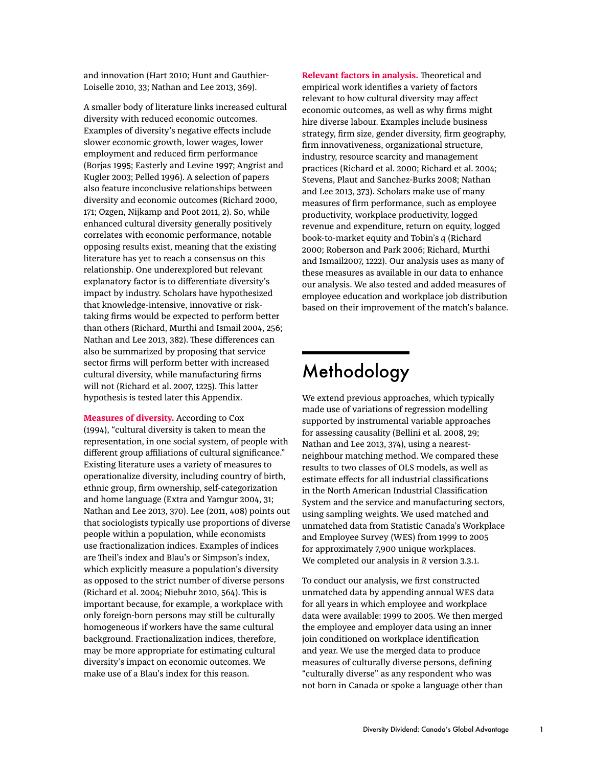and innovation (Hart 2010; Hunt and Gauthier-Loiselle 2010, 33; Nathan and Lee 2013, 369).

A smaller body of literature links increased cultural diversity with reduced economic outcomes. Examples of diversity's negative effects include slower economic growth, lower wages, lower employment and reduced firm performance (Borjas 1995; Easterly and Levine 1997; Angrist and Kugler 2003; Pelled 1996). A selection of papers also feature inconclusive relationships between diversity and economic outcomes (Richard 2000, 171; Ozgen, Nijkamp and Poot 2011, 2). So, while enhanced cultural diversity generally positively correlates with economic performance, notable opposing results exist, meaning that the existing literature has yet to reach a consensus on this relationship. One underexplored but relevant explanatory factor is to differentiate diversity's impact by industry. Scholars have hypothesized that knowledge-intensive, innovative or risktaking firms would be expected to perform better than others (Richard, Murthi and Ismail 2004, 256; Nathan and Lee 2013, 382). These differences can also be summarized by proposing that service sector firms will perform better with increased cultural diversity, while manufacturing firms will not (Richard et al. 2007, 1225). This latter hypothesis is tested later this Appendix.

**Measures of diversity.** According to Cox (1994), "cultural diversity is taken to mean the representation, in one social system, of people with different group affiliations of cultural significance." Existing literature uses a variety of measures to operationalize diversity, including country of birth, ethnic group, firm ownership, self-categorization and home language (Extra and Yamgur 2004, 31; Nathan and Lee 2013, 370). Lee (2011, 408) points out that sociologists typically use proportions of diverse people within a population, while economists use fractionalization indices. Examples of indices are Theil's index and Blau's or Simpson's index, which explicitly measure a population's diversity as opposed to the strict number of diverse persons (Richard et al. 2004; Niebuhr 2010, 564). This is important because, for example, a workplace with only foreign-born persons may still be culturally homogeneous if workers have the same cultural background. Fractionalization indices, therefore, may be more appropriate for estimating cultural diversity's impact on economic outcomes. We make use of a Blau's index for this reason.

**Relevant factors in analysis.** Theoretical and empirical work identifies a variety of factors relevant to how cultural diversity may affect economic outcomes, as well as why firms might hire diverse labour. Examples include business strategy, firm size, gender diversity, firm geography, firm innovativeness, organizational structure, industry, resource scarcity and management practices (Richard et al. 2000; Richard et al. 2004; Stevens, Plaut and Sanchez-Burks 2008; Nathan and Lee 2013, 373). Scholars make use of many measures of firm performance, such as employee productivity, workplace productivity, logged revenue and expenditure, return on equity, logged book-to-market equity and Tobin's *q* (Richard 2000; Roberson and Park 2006; Richard, Murthi and Ismail2007, 1222). Our analysis uses as many of these measures as available in our data to enhance our analysis. We also tested and added measures of employee education and workplace job distribution based on their improvement of the match's balance.

## Methodology

We extend previous approaches, which typically made use of variations of regression modelling supported by instrumental variable approaches for assessing causality (Bellini et al. 2008, 29; Nathan and Lee 2013, 374), using a nearestneighbour matching method. We compared these results to two classes of OLS models, as well as estimate effects for all industrial classifications in the North American Industrial Classification System and the service and manufacturing sectors, using sampling weights. We used matched and unmatched data from Statistic Canada's Workplace and Employee Survey (WES) from 1999 to 2005 for approximately 7,900 unique workplaces. We completed our analysis in *R* version 3.3.1.

To conduct our analysis, we first constructed unmatched data by appending annual WES data for all years in which employee and workplace data were available: 1999 to 2005. We then merged the employee and employer data using an inner join conditioned on workplace identification and year. We use the merged data to produce measures of culturally diverse persons, defining "culturally diverse" as any respondent who was not born in Canada or spoke a language other than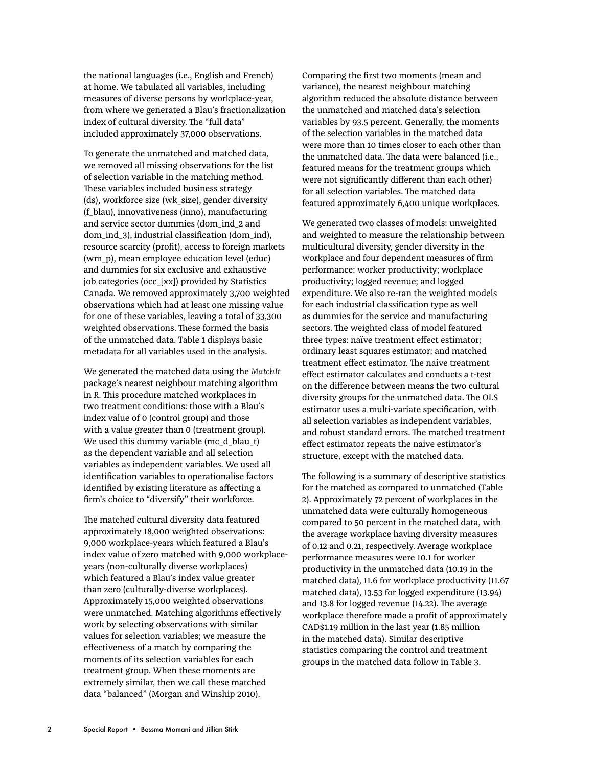the national languages (i.e., English and French) at home. We tabulated all variables, including measures of diverse persons by workplace-year, from where we generated a Blau's fractionalization index of cultural diversity. The "full data" included approximately 37,000 observations.

To generate the unmatched and matched data, we removed all missing observations for the list of selection variable in the matching method. These variables included business strategy (ds), workforce size (wk\_size), gender diversity (f\_blau), innovativeness (inno), manufacturing and service sector dummies (dom\_ind\_2 and dom\_ind\_3), industrial classification (dom\_ind), resource scarcity (profit), access to foreign markets (wm\_p), mean employee education level (educ) and dummies for six exclusive and exhaustive job categories (occ\_[xx]) provided by Statistics Canada. We removed approximately 3,700 weighted observations which had at least one missing value for one of these variables, leaving a total of 33,300 weighted observations. These formed the basis of the unmatched data. Table 1 displays basic metadata for all variables used in the analysis.

We generated the matched data using the *MatchIt*  package's nearest neighbour matching algorithm in *R*. This procedure matched workplaces in two treatment conditions: those with a Blau's index value of 0 (control group) and those with a value greater than 0 (treatment group). We used this dummy variable (mc\_d\_blau\_t) as the dependent variable and all selection variables as independent variables. We used all identification variables to operationalise factors identified by existing literature as affecting a firm's choice to "diversify" their workforce.

The matched cultural diversity data featured approximately 18,000 weighted observations: 9,000 workplace-years which featured a Blau's index value of zero matched with 9,000 workplaceyears (non-culturally diverse workplaces) which featured a Blau's index value greater than zero (culturally-diverse workplaces). Approximately 15,000 weighted observations were unmatched. Matching algorithms effectively work by selecting observations with similar values for selection variables; we measure the effectiveness of a match by comparing the moments of its selection variables for each treatment group. When these moments are extremely similar, then we call these matched data "balanced" (Morgan and Winship 2010).

Comparing the first two moments (mean and variance), the nearest neighbour matching algorithm reduced the absolute distance between the unmatched and matched data's selection variables by 93.5 percent. Generally, the moments of the selection variables in the matched data were more than 10 times closer to each other than the unmatched data. The data were balanced (i.e., featured means for the treatment groups which were not significantly different than each other) for all selection variables. The matched data featured approximately 6,400 unique workplaces.

We generated two classes of models: unweighted and weighted to measure the relationship between multicultural diversity, gender diversity in the workplace and four dependent measures of firm performance: worker productivity; workplace productivity; logged revenue; and logged expenditure. We also re-ran the weighted models for each industrial classification type as well as dummies for the service and manufacturing sectors. The weighted class of model featured three types: naïve treatment effect estimator; ordinary least squares estimator; and matched treatment effect estimator. The naive treatment effect estimator calculates and conducts a t-test on the difference between means the two cultural diversity groups for the unmatched data. The OLS estimator uses a multi-variate specification, with all selection variables as independent variables, and robust standard errors. The matched treatment effect estimator repeats the naive estimator's structure, except with the matched data.

The following is a summary of descriptive statistics for the matched as compared to unmatched (Table 2). Approximately 72 percent of workplaces in the unmatched data were culturally homogeneous compared to 50 percent in the matched data, with the average workplace having diversity measures of 0.12 and 0.21, respectively. Average workplace performance measures were 10.1 for worker productivity in the unmatched data (10.19 in the matched data), 11.6 for workplace productivity (11.67 matched data), 13.53 for logged expenditure (13.94) and 13.8 for logged revenue (14.22). The average workplace therefore made a profit of approximately CAD\$1.19 million in the last year (1.85 million in the matched data). Similar descriptive statistics comparing the control and treatment groups in the matched data follow in Table 3.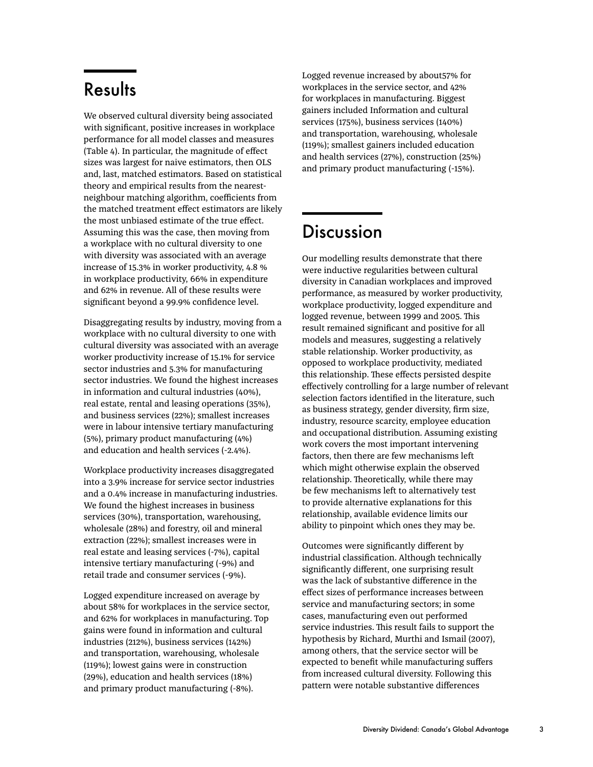## **Results**

We observed cultural diversity being associated with significant, positive increases in workplace performance for all model classes and measures (Table 4). In particular, the magnitude of effect sizes was largest for naive estimators, then OLS and, last, matched estimators. Based on statistical theory and empirical results from the nearestneighbour matching algorithm, coefficients from the matched treatment effect estimators are likely the most unbiased estimate of the true effect. Assuming this was the case, then moving from a workplace with no cultural diversity to one with diversity was associated with an average increase of 15.3% in worker productivity, 4.8 % in workplace productivity, 66% in expenditure and 62% in revenue. All of these results were significant beyond a 99.9% confidence level.

Disaggregating results by industry, moving from a workplace with no cultural diversity to one with cultural diversity was associated with an average worker productivity increase of 15.1% for service sector industries and 5.3% for manufacturing sector industries. We found the highest increases in information and cultural industries (40%), real estate, rental and leasing operations (35%), and business services (22%); smallest increases were in labour intensive tertiary manufacturing (5%), primary product manufacturing (4%) and education and health services (-2.4%).

Workplace productivity increases disaggregated into a 3.9% increase for service sector industries and a 0.4% increase in manufacturing industries. We found the highest increases in business services (30%), transportation, warehousing, wholesale (28%) and forestry, oil and mineral extraction (22%); smallest increases were in real estate and leasing services (-7%), capital intensive tertiary manufacturing (-9%) and retail trade and consumer services (-9%).

Logged expenditure increased on average by about 58% for workplaces in the service sector, and 62% for workplaces in manufacturing. Top gains were found in information and cultural industries (212%), business services (142%) and transportation, warehousing, wholesale (119%); lowest gains were in construction (29%), education and health services (18%) and primary product manufacturing (-8%).

Logged revenue increased by about57% for workplaces in the service sector, and 42% for workplaces in manufacturing. Biggest gainers included Information and cultural services (175%), business services (140%) and transportation, warehousing, wholesale (119%); smallest gainers included education and health services (27%), construction (25%) and primary product manufacturing (-15%).

## Discussion

Our modelling results demonstrate that there were inductive regularities between cultural diversity in Canadian workplaces and improved performance, as measured by worker productivity, workplace productivity, logged expenditure and logged revenue, between 1999 and 2005. This result remained significant and positive for all models and measures, suggesting a relatively stable relationship. Worker productivity, as opposed to workplace productivity, mediated this relationship. These effects persisted despite effectively controlling for a large number of relevant selection factors identified in the literature, such as business strategy, gender diversity, firm size, industry, resource scarcity, employee education and occupational distribution. Assuming existing work covers the most important intervening factors, then there are few mechanisms left which might otherwise explain the observed relationship. Theoretically, while there may be few mechanisms left to alternatively test to provide alternative explanations for this relationship, available evidence limits our ability to pinpoint which ones they may be.

Outcomes were significantly different by industrial classification. Although technically significantly different, one surprising result was the lack of substantive difference in the effect sizes of performance increases between service and manufacturing sectors; in some cases, manufacturing even out performed service industries. This result fails to support the hypothesis by Richard, Murthi and Ismail (2007), among others, that the service sector will be expected to benefit while manufacturing suffers from increased cultural diversity. Following this pattern were notable substantive differences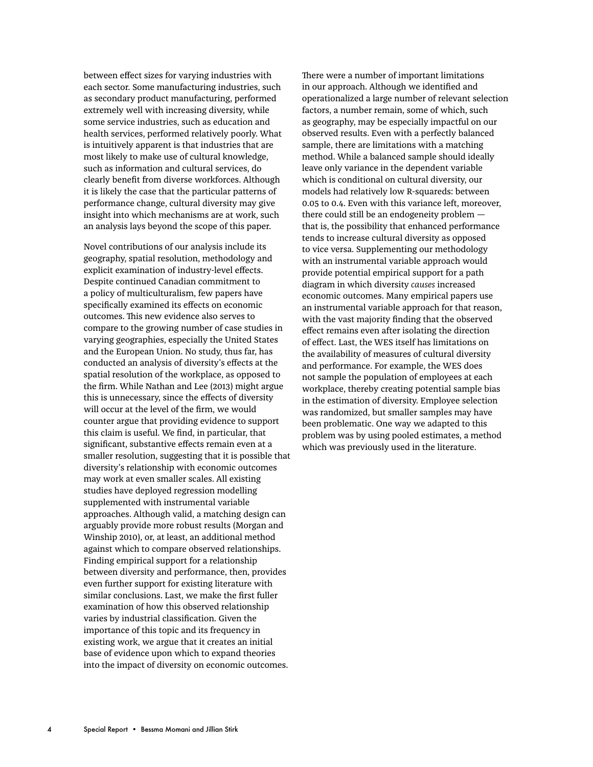between effect sizes for varying industries with each sector. Some manufacturing industries, such as secondary product manufacturing, performed extremely well with increasing diversity, while some service industries, such as education and health services, performed relatively poorly. What is intuitively apparent is that industries that are most likely to make use of cultural knowledge, such as information and cultural services, do clearly benefit from diverse workforces. Although it is likely the case that the particular patterns of performance change, cultural diversity may give insight into which mechanisms are at work, such an analysis lays beyond the scope of this paper.

Novel contributions of our analysis include its geography, spatial resolution, methodology and explicit examination of industry-level effects. Despite continued Canadian commitment to a policy of multiculturalism, few papers have specifically examined its effects on economic outcomes. This new evidence also serves to compare to the growing number of case studies in varying geographies, especially the United States and the European Union. No study, thus far, has conducted an analysis of diversity's effects at the spatial resolution of the workplace, as opposed to the firm. While Nathan and Lee (2013) might argue this is unnecessary, since the effects of diversity will occur at the level of the firm, we would counter argue that providing evidence to support this claim is useful. We find, in particular, that significant, substantive effects remain even at a smaller resolution, suggesting that it is possible that diversity's relationship with economic outcomes may work at even smaller scales. All existing studies have deployed regression modelling supplemented with instrumental variable approaches. Although valid, a matching design can arguably provide more robust results (Morgan and Winship 2010), or, at least, an additional method against which to compare observed relationships. Finding empirical support for a relationship between diversity and performance, then, provides even further support for existing literature with similar conclusions. Last, we make the first fuller examination of how this observed relationship varies by industrial classification. Given the importance of this topic and its frequency in existing work, we argue that it creates an initial base of evidence upon which to expand theories into the impact of diversity on economic outcomes.

There were a number of important limitations in our approach. Although we identified and operationalized a large number of relevant selection factors, a number remain, some of which, such as geography, may be especially impactful on our observed results. Even with a perfectly balanced sample, there are limitations with a matching method. While a balanced sample should ideally leave only variance in the dependent variable which is conditional on cultural diversity, our models had relatively low R-squareds: between 0.05 to 0.4. Even with this variance left, moreover, there could still be an endogeneity problem that is, the possibility that enhanced performance tends to increase cultural diversity as opposed to vice versa. Supplementing our methodology with an instrumental variable approach would provide potential empirical support for a path diagram in which diversity *causes* increased economic outcomes. Many empirical papers use an instrumental variable approach for that reason, with the vast majority finding that the observed effect remains even after isolating the direction of effect. Last, the WES itself has limitations on the availability of measures of cultural diversity and performance. For example, the WES does not sample the population of employees at each workplace, thereby creating potential sample bias in the estimation of diversity. Employee selection was randomized, but smaller samples may have been problematic. One way we adapted to this problem was by using pooled estimates, a method which was previously used in the literature.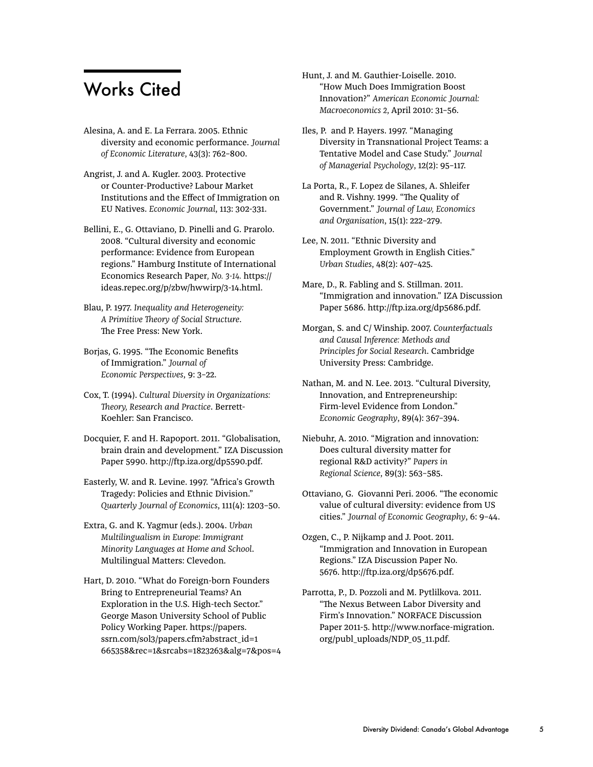### Works Cited

Alesina, A. and E. La Ferrara. 2005. Ethnic diversity and economic performance. *Journal of Economic Literature*, 43(3): 762–800.

Angrist, J. and A. Kugler. 2003. Protective or Counter-Productive? Labour Market Institutions and the Effect of Immigration on EU Natives. *Economic Journal*, 113: 302-331.

Bellini, E., G. Ottaviano, D. Pinelli and G. Prarolo. 2008. "Cultural diversity and economic performance: Evidence from European regions." Hamburg Institute of International Economics Research Paper*, No. 3-14.* https:// ideas.repec.org/p/zbw/hwwirp/3-14.html.

- Blau, P. 1977. *Inequality and Heterogeneity: A Primitive Theory of Social Structure*. The Free Press: New York.
- Borjas, G. 1995. "The Economic Benefits of Immigration." *Journal of Economic Perspectives*, 9: 3–22.

Cox, T. (1994). *Cultural Diversity in Organizations: Theory, Research and Practice*. Berrett-Koehler: San Francisco.

Docquier, F. and H. Rapoport. 2011. "Globalisation, brain drain and development." IZA Discussion Paper 5990. http://ftp.iza.org/dp5590.pdf.

Easterly, W. and R. Levine. 1997. "Africa's Growth Tragedy: Policies and Ethnic Division." *Quarterly Journal of Economics*, 111(4): 1203–50.

Extra, G. and K. Yagmur (eds.). 2004. *Urban Multilingualism in Europe: Immigrant Minority Languages at Home and School*. Multilingual Matters: Clevedon.

Hart, D. 2010. "What do Foreign-born Founders Bring to Entrepreneurial Teams? An Exploration in the U.S. High-tech Sector." George Mason University School of Public Policy Working Paper. https://papers. ssrn.com/sol3/papers.cfm?abstract\_id=1 665358&rec=1&srcabs=1823263&alg=7&pos=4 Hunt, J. and M. Gauthier-Loiselle. 2010. "How Much Does Immigration Boost Innovation?" *American Economic Journal: Macroeconomics 2*, April 2010: 31–56.

Iles, P. and P. Hayers. 1997. "Managing Diversity in Transnational Project Teams: a Tentative Model and Case Study." *Journal of Managerial Psychology*, 12(2): 95–117.

La Porta, R., F. Lopez de Silanes, A. Shleifer and R. Vishny. 1999. "The Quality of Government." *Journal of Law, Economics and Organisation*, 15(1): 222–279.

Lee, N. 2011. "Ethnic Diversity and Employment Growth in English Cities." *Urban Studies*, 48(2): 407–425.

Mare, D., R. Fabling and S. Stillman. 2011. "Immigration and innovation." IZA Discussion Paper 5686. http://ftp.iza.org/dp5686.pdf.

Morgan, S. and C/ Winship. 2007. *Counterfactuals and Causal Inference: Methods and Principles for Social Research*. Cambridge University Press: Cambridge.

Nathan, M. and N. Lee. 2013. "Cultural Diversity, Innovation, and Entrepreneurship: Firm-level Evidence from London." *Economic Geography*, 89(4): 367–394.

Niebuhr, A. 2010. "Migration and innovation: Does cultural diversity matter for regional R&D activity?" *Papers in Regional Science*, 89(3): 563–585.

Ottaviano, G. Giovanni Peri. 2006. "The economic value of cultural diversity: evidence from US cities." *Journal of Economic Geography*, 6: 9–44.

Ozgen, C., P. Nijkamp and J. Poot. 2011. "Immigration and Innovation in European Regions." IZA Discussion Paper No. 5676. http://ftp.iza.org/dp5676.pdf.

Parrotta, P., D. Pozzoli and M. Pytlilkova. 2011. "The Nexus Between Labor Diversity and Firm's Innovation." NORFACE Discussion Paper 2011-5. http://www.norface-migration. org/publ\_uploads/NDP\_05\_11.pdf.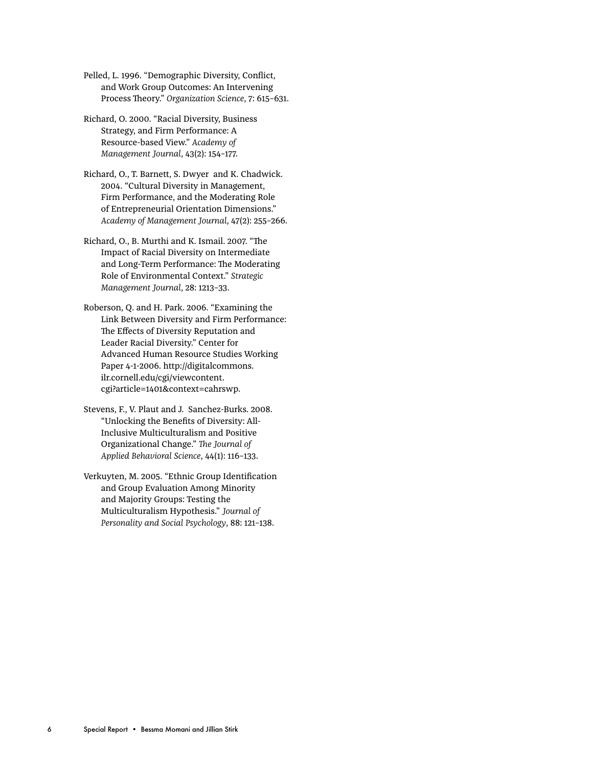Pelled, L. 1996. "Demographic Diversity, Conflict, and Work Group Outcomes: An Intervening Process Theory." *Organization Science*, 7: 615–631.

Richard, O. 2000. "Racial Diversity, Business Strategy, and Firm Performance: A Resource-based View." *Academy of Management Journal*, 43(2): 154–177.

Richard, O., T. Barnett, S. Dwyer and K. Chadwick. 2004. "Cultural Diversity in Management, Firm Performance, and the Moderating Role of Entrepreneurial Orientation Dimensions." *Academy of Management Journal*, 47(2): 255–266.

Richard, O., B. Murthi and K. Ismail. 2007. "The Impact of Racial Diversity on Intermediate and Long-Term Performance: The Moderating Role of Environmental Context." *Strategic Management Journal*, 28: 1213–33.

Roberson, Q. and H. Park. 2006. "Examining the Link Between Diversity and Firm Performance: The Effects of Diversity Reputation and Leader Racial Diversity." Center for Advanced Human Resource Studies Working Paper 4-1-2006. http://digitalcommons. ilr.cornell.edu/cgi/viewcontent. cgi?article=1401&context=cahrswp.

Stevens, F., V. Plaut and J. Sanchez-Burks. 2008. "Unlocking the Benefits of Diversity: All-Inclusive Multiculturalism and Positive Organizational Change." *The Journal of Applied Behavioral Science*, 44(1): 116–133.

Verkuyten, M. 2005. "Ethnic Group Identification and Group Evaluation Among Minority and Majority Groups: Testing the Multiculturalism Hypothesis." *Journal of Personality and Social Psychology*, 88: 121–138.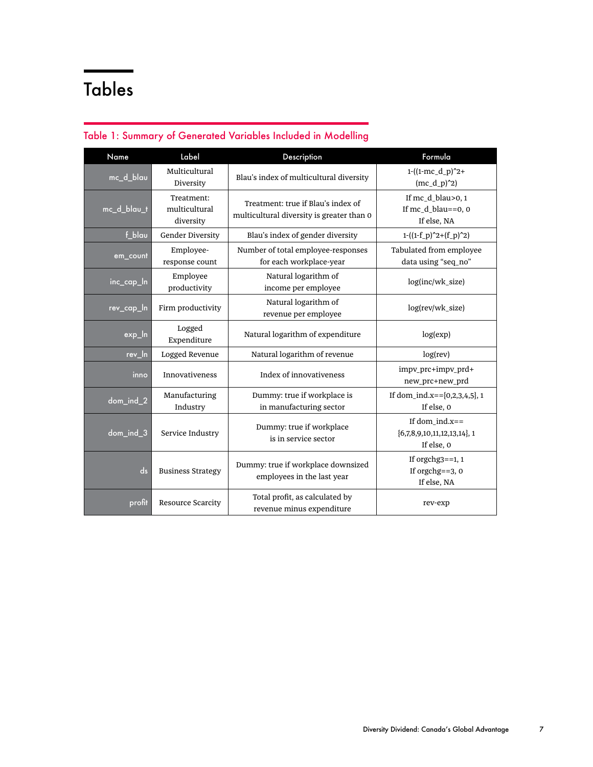# Tables

| Name        | Label                                    | Description                                                                     | Formula                                                            |  |
|-------------|------------------------------------------|---------------------------------------------------------------------------------|--------------------------------------------------------------------|--|
| mc_d_blau   | Multicultural<br>Diversity               | Blau's index of multicultural diversity                                         | $1-(1-mc_d_p)^2+$<br>$(mc_d_p)^2)$                                 |  |
| mc_d_blau_t | Treatment:<br>multicultural<br>diversity | Treatment: true if Blau's index of<br>multicultural diversity is greater than 0 | If mc_d_blau>0, 1<br>If mc_d_blau==0, 0<br>If else, NA             |  |
| $f_b$ lau   | Gender Diversity                         | Blau's index of gender diversity                                                | $1-( (1-f_p)^2+(f_p)^2)$                                           |  |
| em_count    | Employee-<br>response count              | Number of total employee-responses<br>for each workplace-year                   | Tabulated from employee<br>data using "seq_no"                     |  |
| inc_cap_In  | Employee<br>productivity                 | Natural logarithm of<br>income per employee                                     | log(inc/wk_size)                                                   |  |
| rev_cap_In  | Firm productivity                        | Natural logarithm of<br>revenue per employee                                    | log(rev/wk_size)                                                   |  |
| $exp_l$     | Logged<br>Expenditure                    | Natural logarithm of expenditure                                                | log(exp)                                                           |  |
| rev_In      | Logged Revenue                           | Natural logarithm of revenue                                                    | log(rev)                                                           |  |
| inno        | <b>Innovativeness</b>                    | Index of innovativeness                                                         | impv_prc+impv_prd+<br>new_prc+new_prd                              |  |
| dom_ind_2   | Manufacturing<br>Industry                | Dummy: true if workplace is<br>in manufacturing sector                          | If dom_ind.x== ${0,2,3,4,5}$ , 1<br>If else, 0                     |  |
| dom_ind_3   | Service Industry                         | Dummy: true if workplace<br>is in service sector                                | If dom $ind.x ==$<br>$\{6,7,8,9,10,11,12,13,14\},$ 1<br>If else, 0 |  |
| ds          | <b>Business Strategy</b>                 | Dummy: true if workplace downsized<br>employees in the last year                | If orgchg $3 == 1, 1$<br>If orgchg $==3, 0$<br>If else, NA         |  |
| profit      | <b>Resource Scarcity</b>                 | Total profit, as calculated by<br>revenue minus expenditure                     | rev-exp                                                            |  |

#### Table 1: Summary of Generated Variables Included in Modelling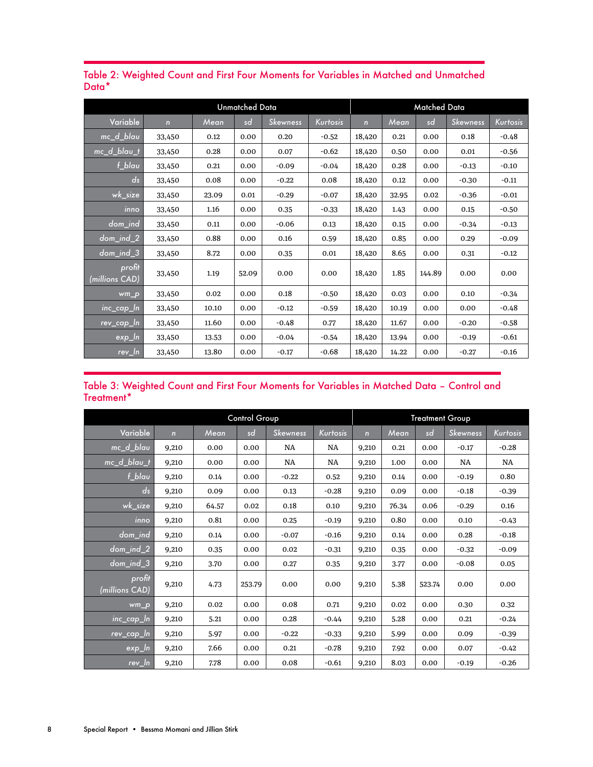| <b>Unmatched Data</b>    |             |       |       | Matched Data    |          |                |       |        |                 |          |
|--------------------------|-------------|-------|-------|-----------------|----------|----------------|-------|--------|-----------------|----------|
| Variable                 | $\mathbf n$ | Mean  | sd    | <b>Skewness</b> | Kurtosis | $\overline{ }$ | Mean  | sd     | <b>Skewness</b> | Kurtosis |
| mc_d_blau                | 33,450      | 0.12  | 0.00  | 0.20            | $-0.52$  | 18,420         | 0.21  | 0.00   | 0.18            | $-0.48$  |
| mc_d_blau_t              | 33,450      | 0.28  | 0.00  | 0.07            | $-0.62$  | 18,420         | 0.50  | 0.00   | 0.01            | $-0.56$  |
| f_blau                   | 33,450      | 0.21  | 0.00  | $-0.09$         | $-0.04$  | 18,420         | 0.28  | 0.00   | $-0.13$         | $-0.10$  |
| ds                       | 33,450      | 0.08  | 0.00  | $-0.22$         | 0.08     | 18,420         | 0.12  | 0.00   | $-0.30$         | $-0.11$  |
| wk_size                  | 33,450      | 23.09 | 0.01  | $-0.29$         | $-0.07$  | 18,420         | 32.95 | 0.02   | $-0.36$         | $-0.01$  |
| inno                     | 33,450      | 1.16  | 0.00  | 0.35            | $-0.33$  | 18,420         | 1.43  | 0.00   | 0.15            | $-0.50$  |
| $dom\_ind$               | 33,450      | 0.11  | 0.00  | $-0.06$         | 0.13     | 18,420         | 0.15  | 0.00   | $-0.34$         | $-0.13$  |
| $dom\_ind_2$             | 33,450      | 0.88  | 0.00  | 0.16            | 0.59     | 18,420         | 0.85  | 0.00   | 0.29            | $-0.09$  |
| $dom\_ind_3$             | 33,450      | 8.72  | 0.00  | 0.35            | 0.01     | 18,420         | 8.65  | 0.00   | 0.31            | $-0.12$  |
| profit<br>(millions CAD) | 33,450      | 1.19  | 52.09 | 0.00            | 0.00     | 18,420         | 1.85  | 144.89 | 0.00            | 0.00     |
| wm_p                     | 33,450      | 0.02  | 0.00  | 0.18            | $-0.50$  | 18,420         | 0.03  | 0.00   | 0.10            | $-0.34$  |
| $inc\_cap\_ln$           | 33,450      | 10.10 | 0.00  | $-0.12$         | $-0.59$  | 18,420         | 10.19 | 0.00   | 0.00            | $-0.48$  |
| rev_cap_In               | 33,450      | 11.60 | 0.00  | $-0.48$         | 0.77     | 18,420         | 11.67 | 0.00   | $-0.20$         | $-0.58$  |
| exp_ln                   | 33,450      | 13.53 | 0.00  | $-0.04$         | $-0.54$  | 18,420         | 13.94 | 0.00   | $-0.19$         | $-0.61$  |
| $rev_l$                  | 33,450      | 13.80 | 0.00  | $-0.17$         | $-0.68$  | 18,420         | 14.22 | 0.00   | $-0.27$         | $-0.16$  |

Table 2: Weighted Count and First Four Moments for Variables in Matched and Unmatched Data\*

#### Table 3: Weighted Count and First Four Moments for Variables in Matched Data – Control and Treatment\*

|                          | Control Group  |       |        |                 | <b>Treatment Group</b> |              |       |        |                 |          |
|--------------------------|----------------|-------|--------|-----------------|------------------------|--------------|-------|--------|-----------------|----------|
| Variable                 | $\overline{ }$ | Mean  | sd     | <b>Skewness</b> | Kurtosis               | $\mathbf{r}$ | Mean  | sd     | <b>Skewness</b> | Kurtosis |
| mc_d_blau                | 9,210          | 0.00  | 0.00   | <b>NA</b>       | NA                     | 9,210        | 0.21  | 0.00   | $-0.17$         | $-0.28$  |
| mc_d_blau_t              | 9,210          | 0.00  | 0.00   | NA              | NA                     | 9,210        | 1.00  | 0.00   | NA              | NA       |
| $f_b$ lau                | 9,210          | 0.14  | 0.00   | $-0.22$         | 0.52                   | 9,210        | 0.14  | 0.00   | $-0.19$         | 0.80     |
| ds                       | 9,210          | 0.09  | 0.00   | 0.13            | $-0.28$                | 9,210        | 0.09  | 0.00   | $-0.18$         | $-0.39$  |
| wk_size                  | 9,210          | 64.57 | 0.02   | 0.18            | 0.10                   | 9,210        | 76.34 | 0.06   | $-0.29$         | 0.16     |
| inno                     | 9,210          | 0.81  | 0.00   | 0.25            | $-0.19$                | 9,210        | 0.80  | 0.00   | 0.10            | $-0.43$  |
| dom_ind                  | 9,210          | 0.14  | 0.00   | $-0.07$         | $-0.16$                | 9,210        | 0.14  | 0.00   | 0.28            | $-0.18$  |
| $dom\_ind_2$             | 9,210          | 0.35  | 0.00   | 0.02            | $-0.31$                | 9,210        | 0.35  | 0.00   | $-0.32$         | $-0.09$  |
| $dom\_ind_3$             | 9,210          | 3.70  | 0.00   | 0.27            | 0.35                   | 9,210        | 3.77  | 0.00   | $-0.08$         | 0.05     |
| profit<br>(millions CAD) | 9,210          | 4.73  | 253.79 | 0.00            | 0.00                   | 9,210        | 5.38  | 523.74 | 0.00            | 0.00     |
| $wm_p$                   | 9,210          | 0.02  | 0.00   | 0.08            | 0.71                   | 9,210        | 0.02  | 0.00   | 0.30            | 0.32     |
| $inc\_cap\_In$           | 9,210          | 5.21  | 0.00   | 0.28            | $-0.44$                | 9,210        | 5.28  | 0.00   | 0.21            | $-0.24$  |
| rev_cap_ln               | 9,210          | 5.97  | 0.00   | $-0.22$         | $-0.33$                | 9,210        | 5.99  | 0.00   | 0.09            | $-0.39$  |
| <sub>l</sub> exp_ln      | 9,210          | 7.66  | 0.00   | 0.21            | $-0.78$                | 9,210        | 7.92  | 0.00   | 0.07            | $-0.42$  |
| rev_In                   | 9,210          | 7.78  | 0.00   | 0.08            | $-0.61$                | 9,210        | 8.03  | 0.00   | $-0.19$         | $-0.26$  |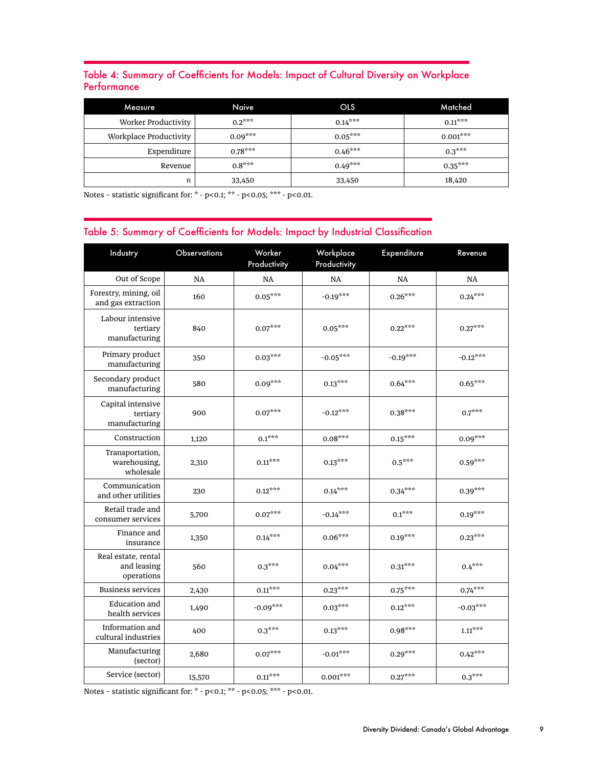#### Table 4: Summary of Coefficients for Models: Impact of Cultural Diversity on Workplace **Performance**

| Measure                | Naive     | <b>OLS</b> | Matched    |
|------------------------|-----------|------------|------------|
| Worker Productivity    | $0.2***$  | $0.14***$  | $0.11***$  |
| Workplace Productivity | $0.09***$ | $0.05***$  | $0.001***$ |
| Expenditure            | $0.78***$ | $0.46***$  | $0.3***$   |
| Revenue                | $0.8***$  | $0.49***$  | $0.35***$  |
| п                      | 33,450    | 33,450     | 18,420     |

Notes – statistic significant for: \* - p<0.1; \*\* - p<0.05; \*\*\* - p<0.01.

#### Table 5: Summary of Coefficients for Models: Impact by Industrial Classification

| Industry                                         | Observations | Worker<br>Productivity | Workplace<br>Productivity | <b>Expenditure</b> | Revenue                  |
|--------------------------------------------------|--------------|------------------------|---------------------------|--------------------|--------------------------|
| Out of Scope                                     | <b>NA</b>    | <b>NA</b>              | <b>NA</b>                 | <b>NA</b>          | NA                       |
| Forestry, mining, oil<br>and gas extraction      | 160          | $0.05***$              | $-0.19***$                | $0.26***$          | $0.24***$                |
| Labour intensive<br>tertiary<br>manufacturing    | 840          | $0.07***$              | $0.05***$                 | $0.22***$          | $0.27***$                |
| Primary product<br>manufacturing                 | 350          | $0.03***$              | $-0.05***$                | $-0.19***$         | $-0.12***$               |
| Secondary product<br>manufacturing               | 580          | $0.09***$              | $0.13***$                 | $0.64***$          | $0.65***$                |
| Capital intensive<br>tertiary<br>manufacturing   | 900          | $0.07***$              | $-0.12***$                | $0.38***$          | $0.7^{\star\star\star}$  |
| Construction                                     | 1,120        | $0.1***$               | $0.08***$                 | $0.15***$          | $0.09***$                |
| Transportation,<br>warehousing,<br>wholesale     | 2,310        | $0.11***$              | $0.13***$                 | $0.5***$           | $0.59***$                |
| Communication<br>and other utilities             | 230          | $0.12***$              | $0.14***$                 | $0.34***$          | $0.39***$                |
| Retail trade and<br>consumer services            | 5,700        | $0.07***$              | $-0.14***$                | $0.1***$           | $0.19***$                |
| Finance and<br>insurance                         | 1,350        | $0.14***$              | $0.06***$                 | $0.19^{***}\,$     | $0.23^{***}$             |
| Real estate, rental<br>and leasing<br>operations | 560          | $0.3***$               | $0.04***$                 | $0.31***$          | $0.4***$                 |
| <b>Business services</b>                         | 2,430        | $0.11***$              | $0.23***$                 | $0.75***$          | $0.74***$                |
| Education and<br>health services                 | 1,490        | $-0.09***$             | $0.03***$                 | $0.12***$          | $-0.03***$               |
| Information and<br>cultural industries           | 400          | $0.3***$               | $0.13***$                 | $0.98***$          | $1.11^{\star\star\star}$ |
| Manufacturing<br>(sector)                        | 2,680        | $0.07***$              | $-0.01***$                | $0.29***$          | $0.42***$                |
| Service (sector)                                 | 15,570       | $0.11***$              | $0.001***$                | $0.27***$          | $0.3***$                 |

Notes – statistic significant for: \* - p<0.1; \*\* - p<0.05; \*\*\* - p<0.01.